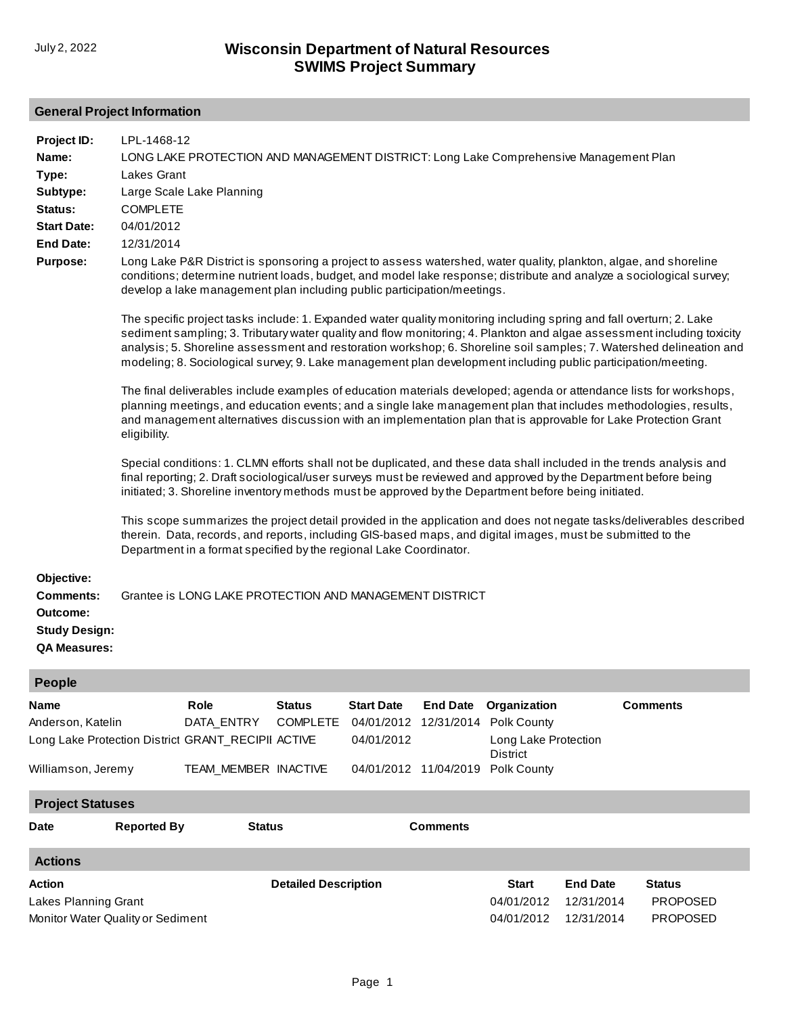#### **General Project Information**

| Project ID:<br>Name:<br>Type:<br>Subtype:<br>Status:<br><b>Start Date:</b><br><b>End Date:</b><br><b>Purpose:</b> | LPL-1468-12<br>LONG LAKE PROTECTION AND MANAGEMENT DISTRICT: Long Lake Comprehensive Management Plan<br>Lakes Grant<br>Large Scale Lake Planning<br><b>COMPLETE</b><br>04/01/2012<br>12/31/2014<br>Long Lake P&R District is sponsoring a project to assess watershed, water quality, plankton, algae, and shoreline<br>conditions; determine nutrient loads, budget, and model lake response; distribute and analyze a sociological survey;<br>develop a lake management plan including public participation/meetings.<br>The specific project tasks include: 1. Expanded water quality monitoring including spring and fall overturn; 2. Lake<br>sediment sampling; 3. Tributary water quality and flow monitoring; 4. Plankton and algae assessment including toxicity<br>analysis; 5. Shoreline assessment and restoration workshop; 6. Shoreline soil samples; 7. Watershed delineation and<br>modeling; 8. Sociological survey; 9. Lake management plan development including public participation/meeting.<br>The final deliverables include examples of education materials developed; agenda or attendance lists for workshops,<br>planning meetings, and education events; and a single lake management plan that includes methodologies, results,<br>and management alternatives discussion with an implementation plan that is approvable for Lake Protection Grant<br>eligibility.<br>Special conditions: 1. CLMN efforts shall not be duplicated, and these data shall included in the trends analysis and<br>final reporting; 2. Draft sociological/user surveys must be reviewed and approved by the Department before being<br>initiated; 3. Shoreline inventory methods must be approved by the Department before being initiated.<br>This scope summarizes the project detail provided in the application and does not negate tasks/deliverables described<br>therein. Data, records, and reports, including GIS-based maps, and digital images, must be submitted to the<br>Department in a format specified by the regional Lake Coordinator. |                                                                                                  |                                  |                                 |                                          |                                                                                                             |                 |                 |  |
|-------------------------------------------------------------------------------------------------------------------|--------------------------------------------------------------------------------------------------------------------------------------------------------------------------------------------------------------------------------------------------------------------------------------------------------------------------------------------------------------------------------------------------------------------------------------------------------------------------------------------------------------------------------------------------------------------------------------------------------------------------------------------------------------------------------------------------------------------------------------------------------------------------------------------------------------------------------------------------------------------------------------------------------------------------------------------------------------------------------------------------------------------------------------------------------------------------------------------------------------------------------------------------------------------------------------------------------------------------------------------------------------------------------------------------------------------------------------------------------------------------------------------------------------------------------------------------------------------------------------------------------------------------------------------------------------------------------------------------------------------------------------------------------------------------------------------------------------------------------------------------------------------------------------------------------------------------------------------------------------------------------------------------------------------------------------------------------------------------------------------------------------------------------------------------------------------|--------------------------------------------------------------------------------------------------|----------------------------------|---------------------------------|------------------------------------------|-------------------------------------------------------------------------------------------------------------|-----------------|-----------------|--|
| Objective:<br><b>Comments:</b><br>Outcome:<br><b>Study Design:</b><br><b>QA Measures:</b>                         |                                                                                                                                                                                                                                                                                                                                                                                                                                                                                                                                                                                                                                                                                                                                                                                                                                                                                                                                                                                                                                                                                                                                                                                                                                                                                                                                                                                                                                                                                                                                                                                                                                                                                                                                                                                                                                                                                                                                                                                                                                                                    | Grantee is LONG LAKE PROTECTION AND MANAGEMENT DISTRICT                                          |                                  |                                 |                                          |                                                                                                             |                 |                 |  |
| <b>People</b>                                                                                                     |                                                                                                                                                                                                                                                                                                                                                                                                                                                                                                                                                                                                                                                                                                                                                                                                                                                                                                                                                                                                                                                                                                                                                                                                                                                                                                                                                                                                                                                                                                                                                                                                                                                                                                                                                                                                                                                                                                                                                                                                                                                                    |                                                                                                  |                                  |                                 |                                          |                                                                                                             |                 |                 |  |
| Name<br>Anderson, Katelin<br>Williamson, Jeremy                                                                   |                                                                                                                                                                                                                                                                                                                                                                                                                                                                                                                                                                                                                                                                                                                                                                                                                                                                                                                                                                                                                                                                                                                                                                                                                                                                                                                                                                                                                                                                                                                                                                                                                                                                                                                                                                                                                                                                                                                                                                                                                                                                    | Role<br>DATA_ENTRY<br>Long Lake Protection District GRANT_RECIPII ACTIVE<br>TEAM_MEMBER INACTIVE | <b>Status</b><br><b>COMPLETE</b> | <b>Start Date</b><br>04/01/2012 | <b>End Date</b><br>04/01/2012 11/04/2019 | Organization<br>04/01/2012 12/31/2014 Polk County<br>Long Lake Protection<br><b>District</b><br>Polk County |                 | <b>Comments</b> |  |
|                                                                                                                   | <b>Project Statuses</b>                                                                                                                                                                                                                                                                                                                                                                                                                                                                                                                                                                                                                                                                                                                                                                                                                                                                                                                                                                                                                                                                                                                                                                                                                                                                                                                                                                                                                                                                                                                                                                                                                                                                                                                                                                                                                                                                                                                                                                                                                                            |                                                                                                  |                                  |                                 |                                          |                                                                                                             |                 |                 |  |
| Date                                                                                                              | <b>Reported By</b>                                                                                                                                                                                                                                                                                                                                                                                                                                                                                                                                                                                                                                                                                                                                                                                                                                                                                                                                                                                                                                                                                                                                                                                                                                                                                                                                                                                                                                                                                                                                                                                                                                                                                                                                                                                                                                                                                                                                                                                                                                                 | <b>Status</b>                                                                                    |                                  |                                 | <b>Comments</b>                          |                                                                                                             |                 |                 |  |
| <b>Actions</b>                                                                                                    |                                                                                                                                                                                                                                                                                                                                                                                                                                                                                                                                                                                                                                                                                                                                                                                                                                                                                                                                                                                                                                                                                                                                                                                                                                                                                                                                                                                                                                                                                                                                                                                                                                                                                                                                                                                                                                                                                                                                                                                                                                                                    |                                                                                                  |                                  |                                 |                                          |                                                                                                             |                 |                 |  |
| Action                                                                                                            |                                                                                                                                                                                                                                                                                                                                                                                                                                                                                                                                                                                                                                                                                                                                                                                                                                                                                                                                                                                                                                                                                                                                                                                                                                                                                                                                                                                                                                                                                                                                                                                                                                                                                                                                                                                                                                                                                                                                                                                                                                                                    |                                                                                                  | <b>Detailed Description</b>      |                                 |                                          | <b>Start</b>                                                                                                | <b>End Date</b> | <b>Status</b>   |  |

04/01/2012 12/31/2014 04/01/2012 12/31/2014 PROPOSED PROPOSED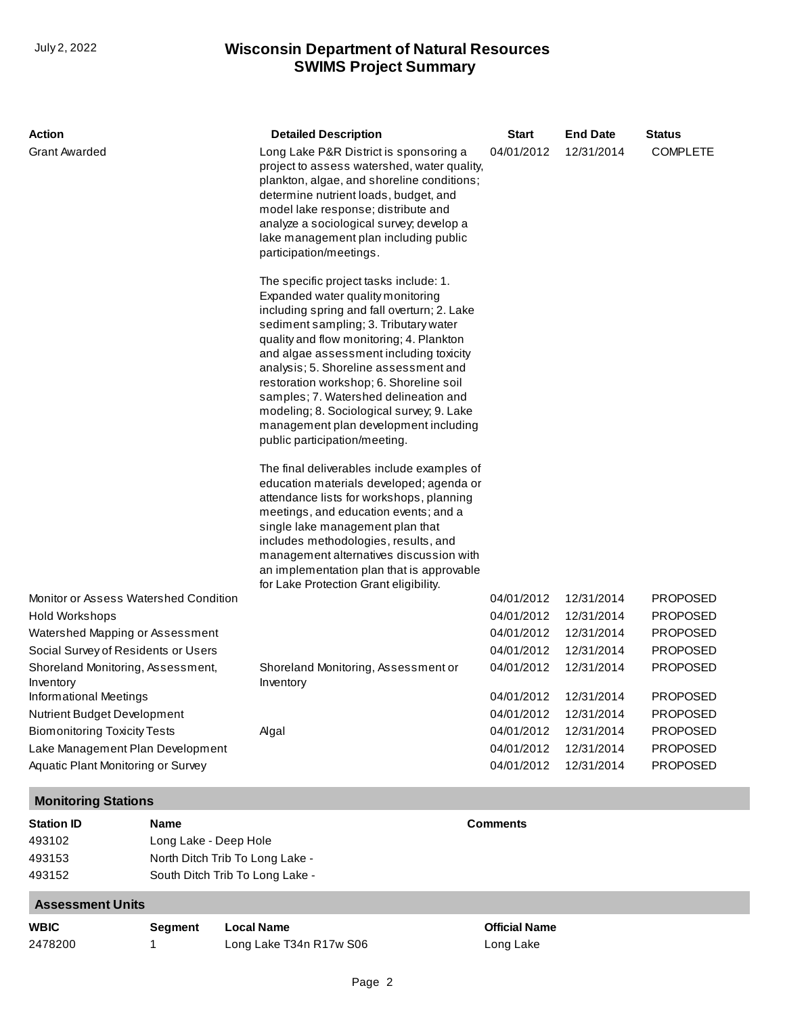## **SWIMS Project Summary** July 2, 2022 **Wisconsin Department of Natural Resources**

| Action                                         | <b>Detailed Description</b>                                                                                                                                                                                                                                                                                                                                                                                                                                                                                    | <b>Start</b> | <b>End Date</b> | <b>Status</b>   |
|------------------------------------------------|----------------------------------------------------------------------------------------------------------------------------------------------------------------------------------------------------------------------------------------------------------------------------------------------------------------------------------------------------------------------------------------------------------------------------------------------------------------------------------------------------------------|--------------|-----------------|-----------------|
| <b>Grant Awarded</b>                           | Long Lake P&R District is sponsoring a<br>project to assess watershed, water quality,<br>plankton, algae, and shoreline conditions;<br>determine nutrient loads, budget, and<br>model lake response; distribute and<br>analyze a sociological survey; develop a<br>lake management plan including public<br>participation/meetings.                                                                                                                                                                            | 04/01/2012   | 12/31/2014      | <b>COMPLETE</b> |
|                                                | The specific project tasks include: 1.<br>Expanded water quality monitoring<br>including spring and fall overturn; 2. Lake<br>sediment sampling; 3. Tributary water<br>quality and flow monitoring; 4. Plankton<br>and algae assessment including toxicity<br>analysis; 5. Shoreline assessment and<br>restoration workshop; 6. Shoreline soil<br>samples; 7. Watershed delineation and<br>modeling; 8. Sociological survey; 9. Lake<br>management plan development including<br>public participation/meeting. |              |                 |                 |
|                                                | The final deliverables include examples of<br>education materials developed; agenda or<br>attendance lists for workshops, planning<br>meetings, and education events; and a<br>single lake management plan that<br>includes methodologies, results, and<br>management alternatives discussion with<br>an implementation plan that is approvable<br>for Lake Protection Grant eligibility.                                                                                                                      |              |                 |                 |
| Monitor or Assess Watershed Condition          |                                                                                                                                                                                                                                                                                                                                                                                                                                                                                                                | 04/01/2012   | 12/31/2014      | <b>PROPOSED</b> |
| Hold Workshops                                 |                                                                                                                                                                                                                                                                                                                                                                                                                                                                                                                | 04/01/2012   | 12/31/2014      | <b>PROPOSED</b> |
| Watershed Mapping or Assessment                |                                                                                                                                                                                                                                                                                                                                                                                                                                                                                                                | 04/01/2012   | 12/31/2014      | <b>PROPOSED</b> |
| Social Survey of Residents or Users            |                                                                                                                                                                                                                                                                                                                                                                                                                                                                                                                | 04/01/2012   | 12/31/2014      | <b>PROPOSED</b> |
| Shoreland Monitoring, Assessment,<br>Inventory | Shoreland Monitoring, Assessment or<br>Inventory                                                                                                                                                                                                                                                                                                                                                                                                                                                               | 04/01/2012   | 12/31/2014      | <b>PROPOSED</b> |
| Informational Meetings                         |                                                                                                                                                                                                                                                                                                                                                                                                                                                                                                                | 04/01/2012   | 12/31/2014      | <b>PROPOSED</b> |
| <b>Nutrient Budget Development</b>             |                                                                                                                                                                                                                                                                                                                                                                                                                                                                                                                | 04/01/2012   | 12/31/2014      | <b>PROPOSED</b> |
| <b>Biomonitoring Toxicity Tests</b>            | Algal                                                                                                                                                                                                                                                                                                                                                                                                                                                                                                          | 04/01/2012   | 12/31/2014      | <b>PROPOSED</b> |
| Lake Management Plan Development               |                                                                                                                                                                                                                                                                                                                                                                                                                                                                                                                | 04/01/2012   | 12/31/2014      | <b>PROPOSED</b> |
| Aquatic Plant Monitoring or Survey             |                                                                                                                                                                                                                                                                                                                                                                                                                                                                                                                | 04/01/2012   | 12/31/2014      | <b>PROPOSED</b> |

#### **Monitoring Stations Station ID Name Comments** 493102 493153 493152 [Long Lake - Deep Hole](http://prodoasint.dnr.wi.gov/swims/viewStation.html?id=8955)  [North Ditch Trib To Long Lake -](http://prodoasint.dnr.wi.gov/swims/viewStation.html?id=9006)  [South Ditch Trib To Long Lake -](http://prodoasint.dnr.wi.gov/swims/viewStation.html?id=9005)  **Assessment Units**

| <b>WBIC</b> | Segment | Local Name              |
|-------------|---------|-------------------------|
| 2478200     |         | Long Lake T34n R17w S06 |

**Official Name** Long Lake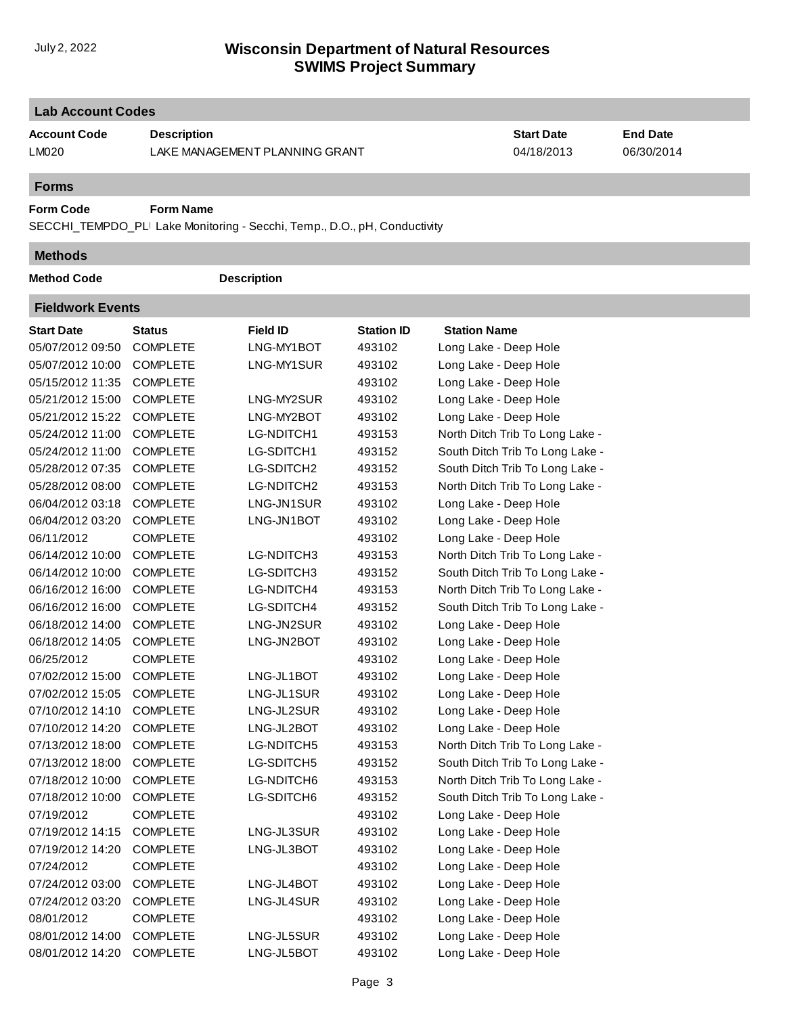### **SWIMS Project Summary** July 2, 2022 **Wisconsin Department of Natural Resources**

| <b>Lab Account Codes</b>     |                    |                                                                           |                   |                                 |                               |  |  |  |
|------------------------------|--------------------|---------------------------------------------------------------------------|-------------------|---------------------------------|-------------------------------|--|--|--|
| <b>Account Code</b><br>LM020 | <b>Description</b> | LAKE MANAGEMENT PLANNING GRANT                                            |                   | <b>Start Date</b><br>04/18/2013 | <b>End Date</b><br>06/30/2014 |  |  |  |
| <b>Forms</b>                 |                    |                                                                           |                   |                                 |                               |  |  |  |
| <b>Form Code</b>             | <b>Form Name</b>   |                                                                           |                   |                                 |                               |  |  |  |
|                              |                    | SECCHI_TEMPDO_PLI Lake Monitoring - Secchi, Temp., D.O., pH, Conductivity |                   |                                 |                               |  |  |  |
| <b>Methods</b>               |                    |                                                                           |                   |                                 |                               |  |  |  |
| <b>Method Code</b>           |                    | <b>Description</b>                                                        |                   |                                 |                               |  |  |  |
| <b>Fieldwork Events</b>      |                    |                                                                           |                   |                                 |                               |  |  |  |
| <b>Start Date</b>            | <b>Status</b>      | <b>Field ID</b>                                                           | <b>Station ID</b> | <b>Station Name</b>             |                               |  |  |  |
| 05/07/2012 09:50             | <b>COMPLETE</b>    | LNG-MY1BOT                                                                | 493102            | Long Lake - Deep Hole           |                               |  |  |  |
| 05/07/2012 10:00             | <b>COMPLETE</b>    | LNG-MY1SUR                                                                | 493102            | Long Lake - Deep Hole           |                               |  |  |  |
| 05/15/2012 11:35             | <b>COMPLETE</b>    |                                                                           | 493102            | Long Lake - Deep Hole           |                               |  |  |  |
| 05/21/2012 15:00             | <b>COMPLETE</b>    | LNG-MY2SUR                                                                | 493102            | Long Lake - Deep Hole           |                               |  |  |  |
| 05/21/2012 15:22             | <b>COMPLETE</b>    | LNG-MY2BOT                                                                | 493102            | Long Lake - Deep Hole           |                               |  |  |  |
| 05/24/2012 11:00             | <b>COMPLETE</b>    | LG-NDITCH1                                                                | 493153            | North Ditch Trib To Long Lake - |                               |  |  |  |
| 05/24/2012 11:00             | <b>COMPLETE</b>    | LG-SDITCH1                                                                | 493152            | South Ditch Trib To Long Lake - |                               |  |  |  |
| 05/28/2012 07:35             | <b>COMPLETE</b>    | LG-SDITCH2                                                                | 493152            | South Ditch Trib To Long Lake - |                               |  |  |  |
| 05/28/2012 08:00             | <b>COMPLETE</b>    | LG-NDITCH2                                                                | 493153            | North Ditch Trib To Long Lake - |                               |  |  |  |
| 06/04/2012 03:18             | <b>COMPLETE</b>    | LNG-JN1SUR                                                                | 493102            | Long Lake - Deep Hole           |                               |  |  |  |
| 06/04/2012 03:20             | <b>COMPLETE</b>    | LNG-JN1BOT                                                                | 493102            | Long Lake - Deep Hole           |                               |  |  |  |
| 06/11/2012                   | <b>COMPLETE</b>    |                                                                           | 493102            | Long Lake - Deep Hole           |                               |  |  |  |
| 06/14/2012 10:00             | <b>COMPLETE</b>    | LG-NDITCH3                                                                | 493153            | North Ditch Trib To Long Lake - |                               |  |  |  |
| 06/14/2012 10:00             | <b>COMPLETE</b>    | LG-SDITCH3                                                                | 493152            | South Ditch Trib To Long Lake - |                               |  |  |  |
| 06/16/2012 16:00             | <b>COMPLETE</b>    | LG-NDITCH4                                                                | 493153            | North Ditch Trib To Long Lake - |                               |  |  |  |
| 06/16/2012 16:00             | <b>COMPLETE</b>    | LG-SDITCH4                                                                | 493152            | South Ditch Trib To Long Lake - |                               |  |  |  |
| 06/18/2012 14:00             | <b>COMPLETE</b>    | LNG-JN2SUR                                                                | 493102            | Long Lake - Deep Hole           |                               |  |  |  |
| 06/18/2012 14:05             | <b>COMPLETE</b>    | LNG-JN2BOT                                                                | 493102            | Long Lake - Deep Hole           |                               |  |  |  |
| 06/25/2012                   | <b>COMPLETE</b>    |                                                                           | 493102            | Long Lake - Deep Hole           |                               |  |  |  |
| 07/02/2012 15:00             | <b>COMPLETE</b>    | LNG-JL1BOT                                                                | 493102            | Long Lake - Deep Hole           |                               |  |  |  |
| 07/02/2012 15:05             | <b>COMPLETE</b>    | LNG-JL1SUR                                                                | 493102            | Long Lake - Deep Hole           |                               |  |  |  |
| 07/10/2012 14:10             | <b>COMPLETE</b>    | LNG-JL2SUR                                                                | 493102            | Long Lake - Deep Hole           |                               |  |  |  |
| 07/10/2012 14:20             | <b>COMPLETE</b>    | LNG-JL2BOT                                                                | 493102            | Long Lake - Deep Hole           |                               |  |  |  |
| 07/13/2012 18:00             | <b>COMPLETE</b>    | LG-NDITCH5                                                                | 493153            | North Ditch Trib To Long Lake - |                               |  |  |  |
| 07/13/2012 18:00             | <b>COMPLETE</b>    | LG-SDITCH5                                                                | 493152            | South Ditch Trib To Long Lake - |                               |  |  |  |
| 07/18/2012 10:00             | <b>COMPLETE</b>    | LG-NDITCH6                                                                | 493153            | North Ditch Trib To Long Lake - |                               |  |  |  |
| 07/18/2012 10:00             | <b>COMPLETE</b>    | LG-SDITCH6                                                                | 493152            | South Ditch Trib To Long Lake - |                               |  |  |  |
| 07/19/2012                   | <b>COMPLETE</b>    |                                                                           | 493102            | Long Lake - Deep Hole           |                               |  |  |  |
| 07/19/2012 14:15             | <b>COMPLETE</b>    | LNG-JL3SUR                                                                | 493102            | Long Lake - Deep Hole           |                               |  |  |  |
| 07/19/2012 14:20             | <b>COMPLETE</b>    | LNG-JL3BOT                                                                | 493102            | Long Lake - Deep Hole           |                               |  |  |  |
| 07/24/2012                   | <b>COMPLETE</b>    |                                                                           | 493102            | Long Lake - Deep Hole           |                               |  |  |  |
| 07/24/2012 03:00             | <b>COMPLETE</b>    | LNG-JL4BOT                                                                | 493102            | Long Lake - Deep Hole           |                               |  |  |  |
| 07/24/2012 03:20             | <b>COMPLETE</b>    | LNG-JL4SUR                                                                | 493102            | Long Lake - Deep Hole           |                               |  |  |  |
| 08/01/2012                   | <b>COMPLETE</b>    |                                                                           | 493102            | Long Lake - Deep Hole           |                               |  |  |  |
| 08/01/2012 14:00             | <b>COMPLETE</b>    | LNG-JL5SUR                                                                | 493102            | Long Lake - Deep Hole           |                               |  |  |  |
| 08/01/2012 14:20             | <b>COMPLETE</b>    | LNG-JL5BOT                                                                | 493102            | Long Lake - Deep Hole           |                               |  |  |  |